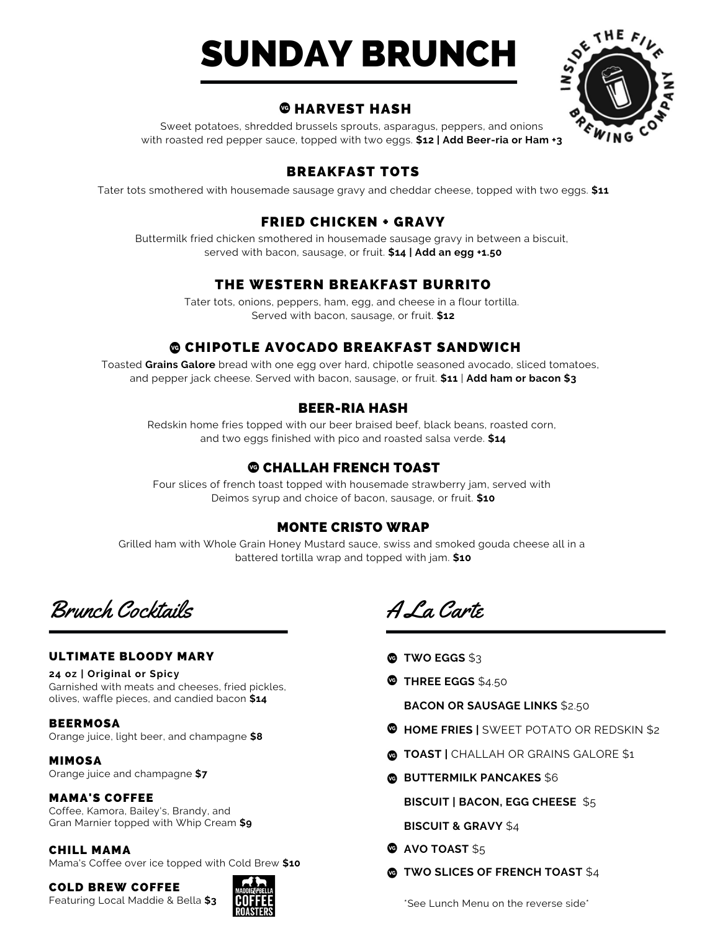# SUNDAY BRUNCH



# **@HARVEST HASH**

Sweet potatoes, shredded brussels sprouts, asparagus, peppers, and onions with roasted red pepper sauce, topped with two eggs. **\$12 | Add Beer-ria or Ham +3**

# BREAKFAST TOTS

Tater tots smothered with housemade sausage gravy and cheddar cheese, topped with two eggs. **\$11**

# FRIED CHICKEN + GRAVY

Buttermilk fried chicken smothered in housemade sausage gravy in between a biscuit, served with bacon, sausage, or fruit. **\$14 | Add an egg +1.50**

# THE WESTERN BREAKFAST BURRITO

Tater tots, onions, peppers, ham, egg, and cheese in a flour tortilla. Served with bacon, sausage, or fruit. **\$12**

# **@ CHIPOTLE AVOCADO BREAKFAST SANDWICH**

Toasted **Grains Galore** bread with one egg over hard, chipotle seasoned avocado, sliced tomatoes, and pepper jack cheese. Served with bacon, sausage, or fruit. **\$11** | **Add ham or bacon \$3**

# BEER-RIA HASH

Redskin home fries topped with our beer braised beef, black beans, roasted corn, and two eggs finished with pico and roasted salsa verde. **\$14**

# CHALLAH FRENCH TOAST

Four slices of french toast topped with housemade strawberry jam, served with Deimos syrup and choice of bacon, sausage, or fruit. **\$10**

## MONTE CRISTO WRAP

Grilled ham with Whole Grain Honey Mustard sauce, swiss and smoked gouda cheese all in a battered tortilla wrap and topped with jam. **\$10**

Brunch Cocktails

#### ULTIMATE BLOODY MARY

#### **24 oz | Original or Spicy**

Garnished with meats and cheeses, fried pickles, olives, waffle pieces, and candied bacon **\$14**

#### BEERMOSA

Orange juice, light beer, and champagne **\$8**

MIMOSA Orange juice and champagne **\$7**

#### MAMA'S COFFEE

Coffee, Kamora, Bailey's, Brandy, and Gran Marnier topped with Whip Cream **\$9**

#### CHILL MAMA

Mama's Coffee over ice topped with Cold Brew **\$10**

COLD BREW COFFEE

Featuring Local Maddie & Bella **\$3**



A La Carte

- **TWO EGGS** \$3
- **THREE EGGS** \$4.50

**BACON OR SAUSAGE LINKS** \$2.50

- **HOME FRIES |** SWEET POTATO OR REDSKIN \$2
- **TOAST |** CHALLAH OR GRAINS GALORE \$1
- **<b>BUTTERMILK PANCAKES** \$6

**BISCUIT | BACON, EGG CHEESE** \$5

**BISCUIT & GRAVY** \$4

- **<sup><b>@</sup>** AVO TOAST \$5</sup>
- **TWO SLICES OF FRENCH TOAST** \$4

\*See Lunch Menu on the reverse side\*